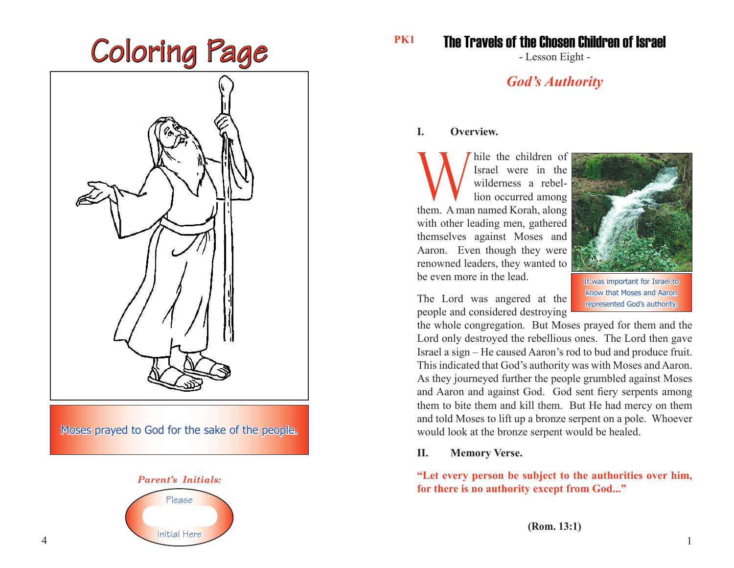# Coloring Page **PK1**



Moses prayed to God for the sake of the people.



The Travels of the Chosen Children of Israel

- Lesson Eight -

# *God's Authority*

## **I. Overview.**

While the children of<br>Israel were in the<br>wilderness a rebel-<br>lion occurred among Israel were in the wilderness a rebellion occurred among them. A man named Korah, along with other leading men, gathered themselves against Moses and Aaron. Even though they were renowned leaders, they wanted to be even more in the lead.



The Lord was angered at the people and considered destroying It was important for Israel to know that Moses and Aaron represented God's authority.

the whole congregation. But Moses prayed for them and the Lord only destroyed the rebellious ones. The Lord then gave Israel a sign – He caused Aaron's rod to bud and produce fruit. This indicated that God's authority was with Moses and Aaron. As they journeyed further the people grumbled against Moses and Aaron and against God. God sent fiery serpents among them to bite them and kill them. But He had mercy on them and told Moses to lift up a bronze serpent on a pole. Whoever would look at the bronze serpent would be healed.

## **II. Memory Verse.**

**"Let every person be subject to the authorities over him, for there is no authority except from God..."**